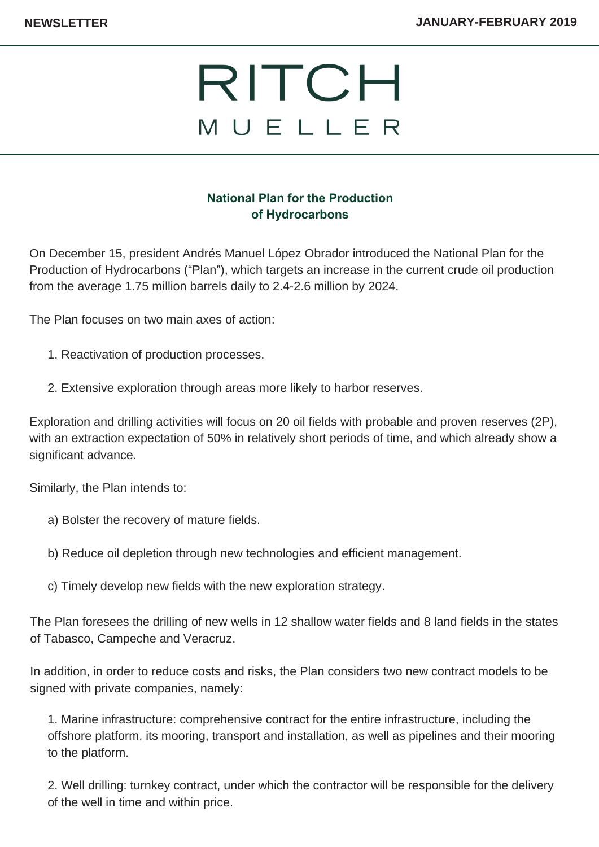## RITCH MUELLER

## **National Plan for the Production of Hydrocarbons**

On December 15, president Andrés Manuel López Obrador introduced the National Plan for the Production of Hydrocarbons ("Plan"), which targets an increase in the current crude oil production from the average 1.75 million barrels daily to 2.4-2.6 million by 2024.

The Plan focuses on two main axes of action:

- 1. Reactivation of production processes.
- 2. Extensive exploration through areas more likely to harbor reserves.

Exploration and drilling activities will focus on 20 oil fields with probable and proven reserves (2P), with an extraction expectation of 50% in relatively short periods of time, and which already show a significant advance.

Similarly, the Plan intends to:

- a) Bolster the recovery of mature fields.
- b) Reduce oil depletion through new technologies and efficient management.
- c) Timely develop new fields with the new exploration strategy.

The Plan foresees the drilling of new wells in 12 shallow water fields and 8 land fields in the states of Tabasco, Campeche and Veracruz.

In addition, in order to reduce costs and risks, the Plan considers two new contract models to be signed with private companies, namely:

1. Marine infrastructure: comprehensive contract for the entire infrastructure, including the offshore platform, its mooring, transport and installation, as well as pipelines and their mooring to the platform.

2. Well drilling: turnkey contract, under which the contractor will be responsible for the delivery of the well in time and within price.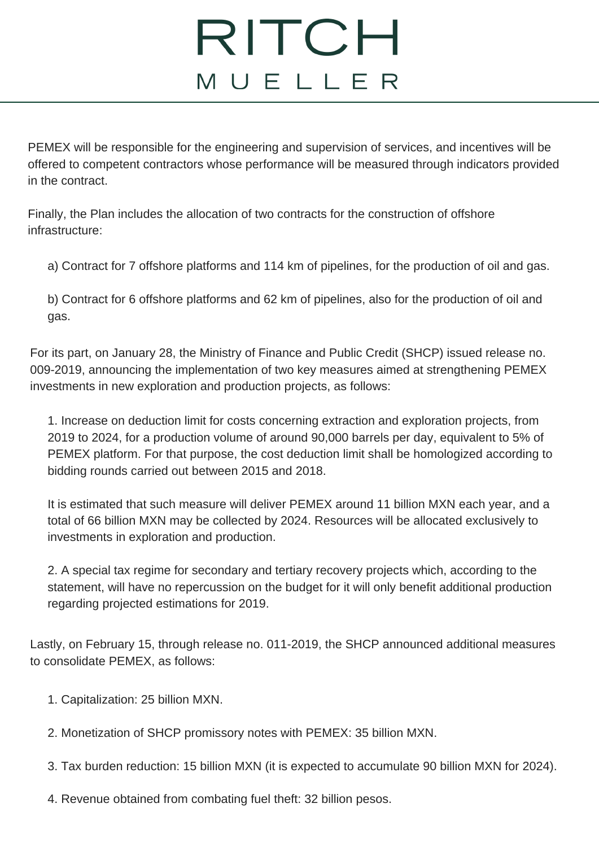## RITCH MUELLER

PEMEX will be responsible for the engineering and supervision of services, and incentives will be offered to competent contractors whose performance will be measured through indicators provided in the contract.

Finally, the Plan includes the allocation of two contracts for the construction of offshore infrastructure:

a) Contract for 7 offshore platforms and 114 km of pipelines, for the production of oil and gas.

b) Contract for 6 offshore platforms and 62 km of pipelines, also for the production of oil and gas.

For its part, on January 28, the Ministry of Finance and Public Credit (SHCP) issued release no. 009-2019, announcing the implementation of two key measures aimed at strengthening PEMEX investments in new exploration and production projects, as follows:

1. Increase on deduction limit for costs concerning extraction and exploration projects, from 2019 to 2024, for a production volume of around 90,000 barrels per day, equivalent to 5% of PEMEX platform. For that purpose, the cost deduction limit shall be homologized according to bidding rounds carried out between 2015 and 2018.

It is estimated that such measure will deliver PEMEX around 11 billion MXN each year, and a total of 66 billion MXN may be collected by 2024. Resources will be allocated exclusively to investments in exploration and production.

2. A special tax regime for secondary and tertiary recovery projects which, according to the statement, will have no repercussion on the budget for it will only benefit additional production regarding projected estimations for 2019.

Lastly, on February 15, through release no. 011-2019, the SHCP announced additional measures to consolidate PEMEX, as follows:

- 1. Capitalization: 25 billion MXN.
- 2. Monetization of SHCP promissory notes with PEMEX: 35 billion MXN.

3. Tax burden reduction: 15 billion MXN (it is expected to accumulate 90 billion MXN for 2024).

4. Revenue obtained from combating fuel theft: 32 billion pesos.